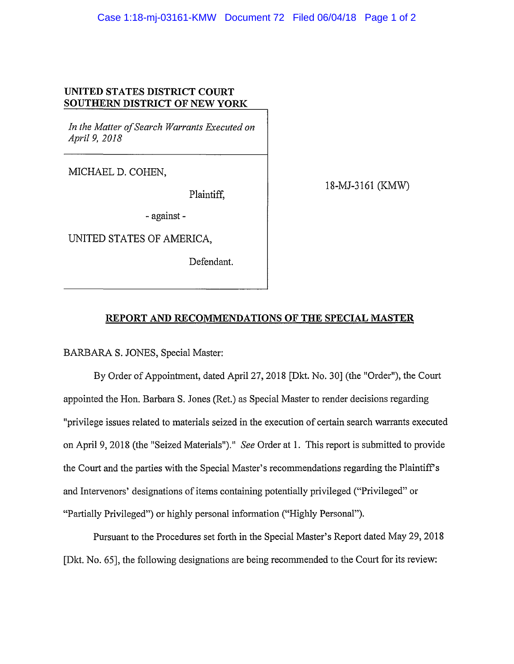## **UNITED STATES DISTRICT COURT SOUTHERN DISTRICT OF NEW YORK**

*In the Matter of Search Warrants Executed on Apri/9, 2018* 

MICHAEL D. COHEN,

Plaintiff,

-against-

UNITED STATES OF AMERICA,

Defendant.

18-MJ-3161 (KMW)

## **REPORT AND RECOMMENDATIONS OF THE SPECIAL MASTER**

BARBARA S. JONES, Special Master:

By Order of Appointment, dated April27, 2018 [Dkt. No. 30] (the "Order"), the Court appointed the Hon. Barbara S. Jones (Ret.) as Special Master to render decisions regarding "privilege issues related to materials seized in the execution of certain search warrants executed on April 9, 2018 (the "Seized Materials")." *See* Order at 1. This report is submitted to provide the Court and the parties with the Special Master's recommendations regarding the Plaintiff's and Intervenors' designations of items containing potentially privileged ("Privileged" or "Partially Privileged") or highly personal information ("Highly Personal").

Pursuant to the Procedures set forth in the Special Master's Report dated May 29, 2018 [Dkt. No. 65], the following designations are being recommended to the Court for its review: